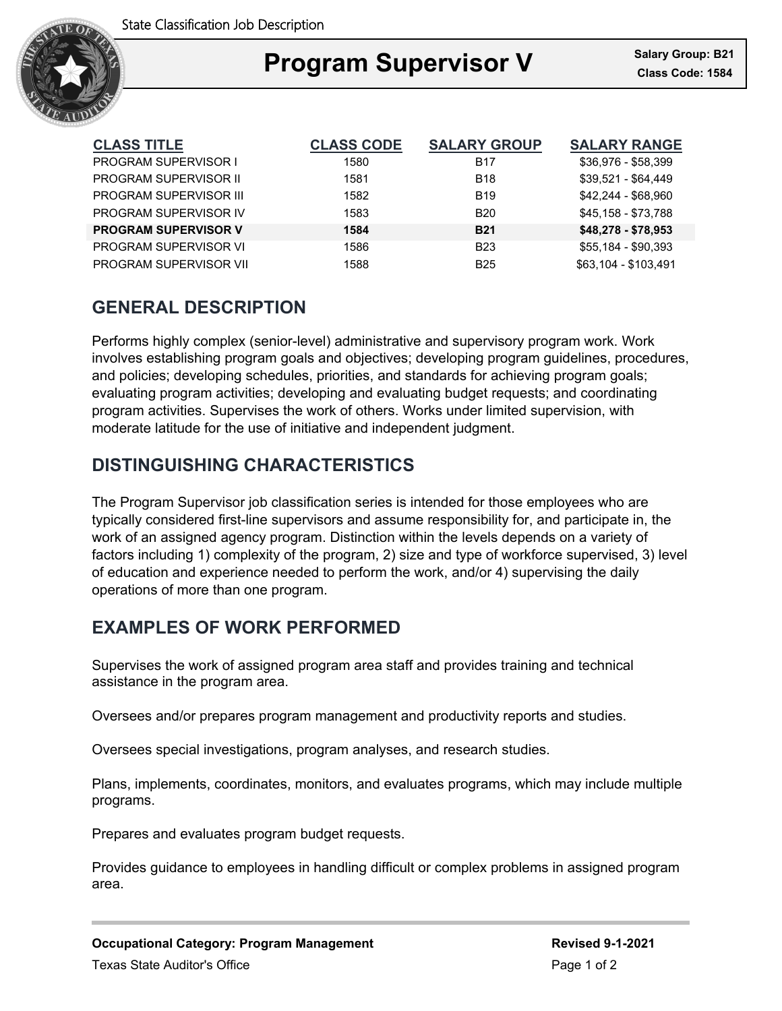

## Ξ **Program Supervisor V Class Code: 1584**

| <b>CLASS TITLE</b>          | <b>CLASS CODE</b> | <b>SALARY GROUP</b> | <b>SALARY RANGE</b>  |
|-----------------------------|-------------------|---------------------|----------------------|
| <b>PROGRAM SUPERVISOR I</b> | 1580              | <b>B17</b>          | \$36,976 - \$58,399  |
| PROGRAM SUPERVISOR II       | 1581              | <b>B18</b>          | $$39.521 - $64.449$  |
| PROGRAM SUPERVISOR III      | 1582              | <b>B19</b>          | \$42.244 - \$68.960  |
| PROGRAM SUPERVISOR IV       | 1583              | <b>B20</b>          | \$45.158 - \$73.788  |
| <b>PROGRAM SUPERVISOR V</b> | 1584              | <b>B21</b>          | \$48,278 - \$78,953  |
| PROGRAM SUPERVISOR VI       | 1586              | <b>B23</b>          | \$55,184 - \$90,393  |
| PROGRAM SUPERVISOR VII      | 1588              | <b>B25</b>          | \$63.104 - \$103.491 |

## **GENERAL DESCRIPTION**

Performs highly complex (senior-level) administrative and supervisory program work. Work involves establishing program goals and objectives; developing program guidelines, procedures, and policies; developing schedules, priorities, and standards for achieving program goals; evaluating program activities; developing and evaluating budget requests; and coordinating program activities. Supervises the work of others. Works under limited supervision, with moderate latitude for the use of initiative and independent judgment.

## **DISTINGUISHING CHARACTERISTICS**

The Program Supervisor job classification series is intended for those employees who are typically considered first-line supervisors and assume responsibility for, and participate in, the work of an assigned agency program. Distinction within the levels depends on a variety of factors including 1) complexity of the program, 2) size and type of workforce supervised, 3) level of education and experience needed to perform the work, and/or 4) supervising the daily operations of more than one program.

# **EXAMPLES OF WORK PERFORMED**

Supervises the work of assigned program area staff and provides training and technical assistance in the program area.

Oversees and/or prepares program management and productivity reports and studies.

Oversees special investigations, program analyses, and research studies.

Plans, implements, coordinates, monitors, and evaluates programs, which may include multiple programs.

Prepares and evaluates program budget requests.

Provides guidance to employees in handling difficult or complex problems in assigned program area.